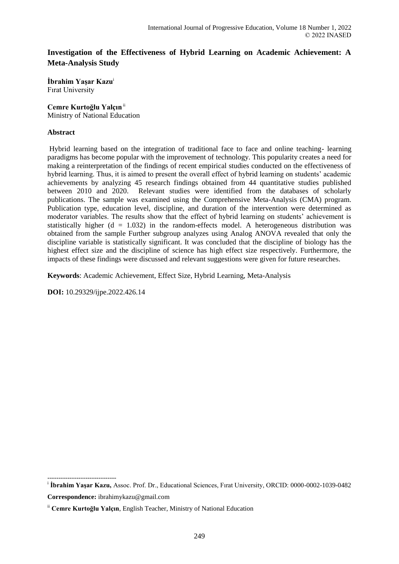# **Investigation of the Effectiveness of Hybrid Learning on Academic Achievement: A Meta-Analysis Study**

**İbrahim Yaşar Kazu**<sup>i</sup> Fırat University

# **Cemre Kurtoğlu Yalçın**ii

Ministry of National Education

# **Abstract**

Hybrid learning based on the integration of traditional face to face and online teaching- learning paradigms has become popular with the improvement of technology. This popularity creates a need for making a reinterpretation of the findings of recent empirical studies conducted on the effectiveness of hybrid learning. Thus, it is aimed to present the overall effect of hybrid learning on students' academic achievements by analyzing 45 research findings obtained from 44 quantitative studies published between 2010 and 2020. Relevant studies were identified from the databases of scholarly publications. The sample was examined using the Comprehensive Meta-Analysis (CMA) program. Publication type, education level, discipline, and duration of the intervention were determined as moderator variables. The results show that the effect of hybrid learning on students' achievement is statistically higher  $(d = 1.032)$  in the random-effects model. A heterogeneous distribution was obtained from the sample Further subgroup analyzes using Analog ANOVA revealed that only the discipline variable is statistically significant. It was concluded that the discipline of biology has the highest effect size and the discipline of science has high effect size respectively. Furthermore, the impacts of these findings were discussed and relevant suggestions were given for future researches.

**Keywords**: Academic Achievement, Effect Size, Hybrid Learning, Meta-Analysis

**DOI:** 10.29329/ijpe.2022.426.14

-------------------------------

i **İbrahim Yaşar Kazu,** Assoc. Prof. Dr., Educational Sciences, Fırat University, ORCID: 0000-0002-1039-0482 **Correspondence:** ibrahimykazu@gmail.com

ii **Cemre Kurtoğlu Yalçın**, English Teacher, Ministry of National Education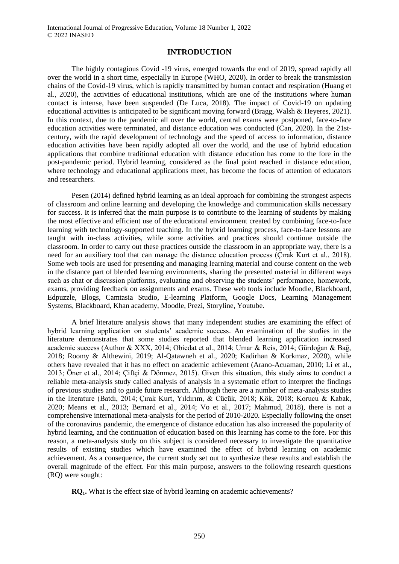#### **INTRODUCTION**

The highly contagious Covid -19 virus, emerged towards the end of 2019, spread rapidly all over the world in a short time, especially in Europe (WHO, 2020). In order to break the transmission chains of the Covid-19 virus, which is rapidly transmitted by human contact and respiration (Huang et al., 2020), the activities of educational institutions, which are one of the institutions where human contact is intense, have been suspended (De Luca, 2018). The impact of Covid-19 on updating educational activities is anticipated to be significant moving forward (Bragg, Walsh & Heyeres, 2021). In this context, due to the pandemic all over the world, central exams were postponed, face-to-face education activities were terminated, and distance education was conducted (Can, 2020). In the 21stcentury, with the rapid development of technology and the speed of access to information, distance education activities have been rapidly adopted all over the world, and the use of hybrid education applications that combine traditional education with distance education has come to the fore in the post-pandemic period. Hybrid learning, considered as the final point reached in distance education, where technology and educational applications meet, has become the focus of attention of educators and researchers.

Pesen (2014) defined hybrid learning as an ideal approach for combining the strongest aspects of classroom and online learning and developing the knowledge and communication skills necessary for success. It is inferred that the main purpose is to contribute to the learning of students by making the most effective and efficient use of the educational environment created by combining face-to-face learning with technology-supported teaching. In the hybrid learning process, face-to-face lessons are taught with in-class activities, while some activities and practices should continue outside the classroom. In order to carry out these practices outside the classroom in an appropriate way, there is a need for an auxiliary tool that can manage the distance education process (Çırak Kurt et al., 2018). Some web tools are used for presenting and managing learning material and course content on the web in the distance part of blended learning environments, sharing the presented material in different ways such as chat or discussion platforms, evaluating and observing the students' performance, homework, exams, providing feedback on assignments and exams. These web tools include Moodle, Blackboard, Edpuzzle, Blogs, Camtasia Studio, E-learning Platform, Google Docs, Learning Management Systems, Blackboard, Khan academy, Moodle, Prezi, Storyline, Youtube.

A brief literature analysis shows that many independent studies are examining the effect of hybrid learning application on students' academic success. An examination of the studies in the literature demonstrates that some studies reported that blended learning application increased academic success (Author & XXX, 2014; Obiedat et al., 2014; Umar & Reis, 2014; Gürdoğan & Bağ, 2018; Roomy & Althewini, 2019; Al-Qatawneh et al., 2020; Kadirhan & Korkmaz, 2020), while others have revealed that it has no effect on academic achievement (Arano-Acuaman, 2010; Li et al., 2013; Öner et al., 2014; Çiftçi & Dönmez, 2015). Given this situation, this study aims to conduct a reliable meta-analysis study called analysis of analysis in a systematic effort to interpret the findings of previous studies and to guide future research. Although there are a number of meta-analysis studies in the literature (Batdı, 2014; Çırak Kurt, Yıldırım, & Cücük, 2018; Kök, 2018; Korucu & Kabak, 2020; Means et al., 2013; Bernard et al., 2014; Vo et al., 2017; Mahmud, 2018), there is not a comprehensive international meta-analysis for the period of 2010-2020. Especially following the onset of the coronavirus pandemic, the emergence of distance education has also increased the popularity of hybrid learning, and the continuation of education based on this learning has come to the fore. For this reason, a meta-analysis study on this subject is considered necessary to investigate the quantitative results of existing studies which have examined the effect of hybrid learning on academic achievement. As a consequence, the current study set out to synthesize these results and establish the overall magnitude of the effect. For this main purpose, answers to the following research questions (RQ) were sought:

**RQ1.** What is the effect size of hybrid learning on academic achievements?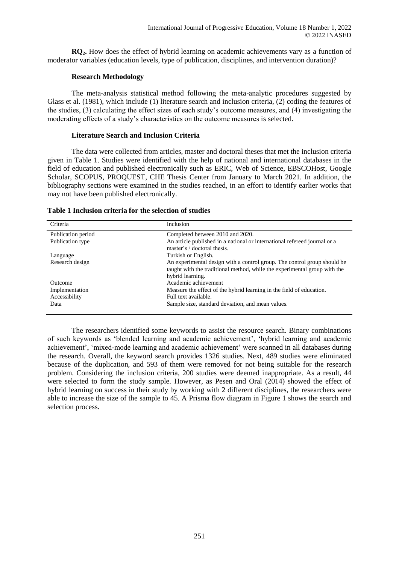**RQ2.** How does the effect of hybrid learning on academic achievements vary as a function of moderator variables (education levels, type of publication, disciplines, and intervention duration)?

### **Research Methodology**

The meta-analysis statistical method following the meta-analytic procedures suggested by Glass et al. (1981), which include (1) literature search and inclusion criteria, (2) coding the features of the studies, (3) calculating the effect sizes of each study's outcome measures, and (4) investigating the moderating effects of a study's characteristics on the outcome measures is selected.

## **Literature Search and Inclusion Criteria**

The data were collected from articles, master and doctoral theses that met the inclusion criteria given in Table 1. Studies were identified with the help of national and international databases in the field of education and published electronically such as ERIC, Web of Science, EBSCOHost, Google Scholar, SCOPUS, PROQUEST, CHE Thesis Center from January to March 2021. In addition, the bibliography sections were examined in the studies reached, in an effort to identify earlier works that may not have been published electronically.

| Criteria           | Inclusion                                                                                                                                                                 |
|--------------------|---------------------------------------------------------------------------------------------------------------------------------------------------------------------------|
| Publication period | Completed between 2010 and 2020.                                                                                                                                          |
| Publication type   | An article published in a national or international refereed journal or a<br>master's / doctoral thesis.                                                                  |
| Language           | Turkish or English.                                                                                                                                                       |
| Research design    | An experimental design with a control group. The control group should be<br>taught with the traditional method, while the experimental group with the<br>hybrid learning. |
| Outcome            | Academic achievement                                                                                                                                                      |
| Implementation     | Measure the effect of the hybrid learning in the field of education.                                                                                                      |
| Accessibility      | Full text available.                                                                                                                                                      |
| Data               | Sample size, standard deviation, and mean values.                                                                                                                         |

## **Table 1 Inclusion criteria for the selection of studies**

The researchers identified some keywords to assist the resource search. Binary combinations of such keywords as 'blended learning and academic achievement', 'hybrid learning and academic achievement', 'mixed-mode learning and academic achievement' were scanned in all databases during the research. Overall, the keyword search provides 1326 studies. Next, 489 studies were eliminated because of the duplication, and 593 of them were removed for not being suitable for the research problem. Considering the inclusion criteria, 200 studies were deemed inappropriate. As a result, 44 were selected to form the study sample. However, as Pesen and Oral (2014) showed the effect of hybrid learning on success in their study by working with 2 different disciplines, the researchers were able to increase the size of the sample to 45. A Prisma flow diagram in Figure 1 shows the search and selection process.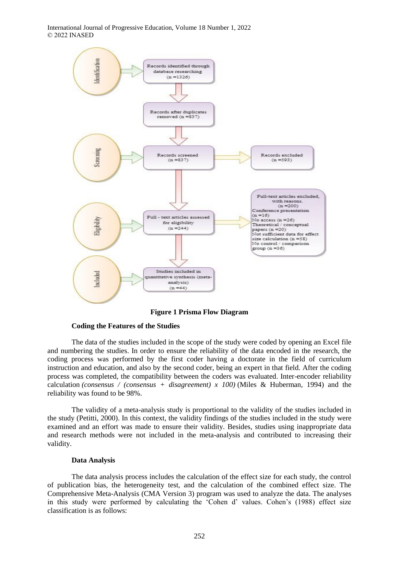

**Figure 1 Prisma Flow Diagram**

### **Coding the Features of the Studies**

The data of the studies included in the scope of the study were coded by opening an Excel file and numbering the studies. In order to ensure the reliability of the data encoded in the research, the coding process was performed by the first coder having a doctorate in the field of curriculum instruction and education, and also by the second coder, being an expert in that field. After the coding process was completed, the compatibility between the coders was evaluated. Inter-encoder reliability calculation *(consensus / (consensus + disagreement) x 100)* (Miles & Huberman, 1994) and the reliability was found to be 98%.

The validity of a meta-analysis study is proportional to the validity of the studies included in the study (Petitti, 2000). In this context, the validity findings of the studies included in the study were examined and an effort was made to ensure their validity. Besides, studies using inappropriate data and research methods were not included in the meta-analysis and contributed to increasing their validity.

### **Data Analysis**

The data analysis process includes the calculation of the effect size for each study, the control of publication bias, the heterogeneity test, and the calculation of the combined effect size. The Comprehensive Meta-Analysis (CMA Version 3) program was used to analyze the data. The analyses in this study were performed by calculating the 'Cohen d' values. Cohen's (1988) effect size classification is as follows: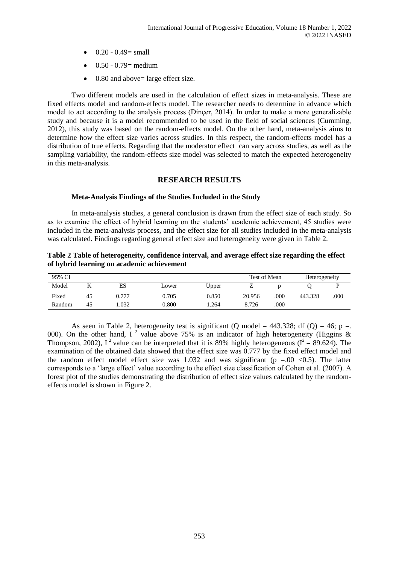- $0.20 0.49$  = small
- $\bullet$  0.50 0.79 = medium
- 0.80 and above= large effect size.

Two different models are used in the calculation of effect sizes in meta-analysis. These are fixed effects model and random-effects model. The researcher needs to determine in advance which model to act according to the analysis process (Dinçer, 2014). In order to make a more generalizable study and because it is a model recommended to be used in the field of social sciences (Cumming, 2012), this study was based on the random-effects model. On the other hand, meta-analysis aims to determine how the effect size varies across studies. In this respect, the random-effects model has a distribution of true effects. Regarding that the moderator effect can vary across studies, as well as the sampling variability, the random-effects size model was selected to match the expected heterogeneity in this meta-analysis.

# **RESEARCH RESULTS**

#### **Meta-Analysis Findings of the Studies Included in the Study**

In meta-analysis studies, a general conclusion is drawn from the effect size of each study. So as to examine the effect of hybrid learning on the students' academic achievement, 45 studies were included in the meta-analysis process, and the effect size for all studies included in the meta-analysis was calculated. Findings regarding general effect size and heterogeneity were given in Table 2.

**Table 2 Table of heterogeneity, confidence interval, and average effect size regarding the effect of hybrid learning on academic achievement**

| 95% CI |    |       |       |       | Test of Mean |      | Heterogeneity |      |
|--------|----|-------|-------|-------|--------------|------|---------------|------|
| Model  |    | ES    | ∟ower | Upper | ∼            |      |               |      |
| Fixed  | 45 | 0.777 | 0.705 | 0.850 | 20.956       | .000 | 443.328       | .000 |
| Random | 45 | .032  | 0.800 | . 264 | 8.726        | .000 |               |      |

As seen in Table 2, heterogeneity test is significant (Q model = 443.328; df (Q) = 46; p =. 000). On the other hand, I<sup>2</sup> value above 75% is an indicator of high heterogeneity (Higgins & Thompson, 2002), I<sup>2</sup> value can be interpreted that it is 89% highly heterogeneous ( $I^2 = 89.624$ ). The examination of the obtained data showed that the effect size was 0.777 by the fixed effect model and the random effect model effect size was 1.032 and was significant ( $p = .00 < 0.5$ ). The latter corresponds to a 'large effect' value according to the effect size classification of Cohen et al. (2007). A forest plot of the studies demonstrating the distribution of effect size values calculated by the randomeffects model is shown in Figure 2.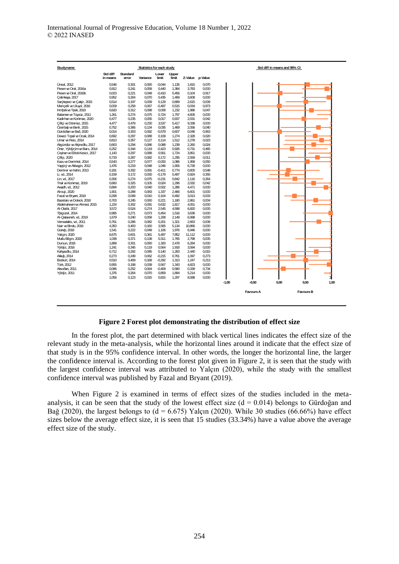| Studyname                     |                      |                   | Statistics for each study |                   |                |                 |       |
|-------------------------------|----------------------|-------------------|---------------------------|-------------------|----------------|-----------------|-------|
|                               | Std diff<br>in means | Standard<br>error | Variance                  | Lower<br>limit    | Upper<br>limit | Z-Value p-Value |       |
| Ünsal. 2012                   | 0.546                | 0.301             | 0.090                     | $-0.044$          | 1.135          | 1.815           | 0.070 |
| Pesen ve Oral, 2016a          | 0.912                | 0.241             | 0.058                     | 0.440             | 1,384          | 3.783           | 0,000 |
| Pesen ve Oral, 2016b          | 0.023                | 0.221             | 0.049                     | $-0.410$          | 0.456          | 0.104           | 0,917 |
| Cetinkaya, 2017               | 0,952                | 0,264             | 0,070                     | 0,435             | 1,469          | 3,608           | 0,000 |
| Sarýtepeci ve Cakýr, 2015     | 0.514                | 0.197             | 0.039                     | 0.129             | 0.899          | 2.615           | 0.009 |
| Mericelli ve Uluyd, 2016      | 0.009                | 0.258             | 0.067                     |                   | 0,515          | 0.034           | 0,973 |
| Dimbekve Ypek 2019            | 0,620                | 0,312             | 0,098                     | $-0,497$<br>0,008 | 1,232          | 1,986           | 0,047 |
|                               |                      |                   |                           |                   |                |                 |       |
| Balaman ve Tüysüz, 2011       | 1,261                | 0,274             | 0,075                     | 0,724             | 1,797          | 4,606           | 0,000 |
| Kadirhan ve Korkmaz, 2020     | 0.477                | 0.235             | 0.055                     | 0.017             | 0.937          | 2.031           | 0.042 |
| Ciftci ve Dönmez, 2015        | 4.477                | 0.479             | 0.230                     | 3.537             | 5,417          | 9,338           | 0,000 |
| Özerbab ve Benli, 2015        | 0.752                | 0.366             | 0.134                     | 0.035             | 1,469          | 2,056           | 0.040 |
| Gürdoğan ve Bağ, 2020         | 0,014                | 0.303             | 0,092                     | $-0.579$          | 0,607          | 0.046           | 0,963 |
| Deveci Topal ve Ocak, 2014    | 0.692                | 0.297             | 0.088                     | 0.109             | 1.274          | 2.328           | 0.020 |
| Umar ve Reis, 2014            | 0.813                | 0.357             | 0.127                     | 0.114             | 1,512          | 2.278           | 0.023 |
| Akqündüz ve Akýnoðlu, 2017    | 0.663                | 0.294             | 0.086                     | 0.088             | 1,239          | 2.260           | 0,024 |
| Öner, Yýldýrým ve Bars, 2014  | 0,252                | 0,344             | 0,119                     | $-0,423$          | 0,926          | 0,731           | 0,465 |
| Cevhan ve Elitok Kesici, 2017 | 1.143                | 0.297             | 0.088                     | 0.561             | 1.724          | 3.851           | 0,000 |
| Ciftci, 2020                  | 0.733                | 0.287             | 0.082                     | 0.172             | 1.295          | 2.559           | 0.011 |
| Kazu ve Demirkol, 2014        | 0,543                | 0,277             | 0,077                     | $-0,000$          | 1,086          | 1,958           | 0,050 |
| Yapýcý ve Akbayýn, 2012       | 1,476                | 0,219             | 0.048                     | 1,046             | 1,906          | 6,728           | 0,000 |
| Demirer ve Þahin, 2013        | 0,181                | 0.302             | 0.091                     | $-0.411$          | 0,774          | 0.600           | 0,548 |
| Li, vd., 2014                 | 0.159                | 0.172             | 0.030                     | $-0.179$          | 0.497          | 0.924           | 0,355 |
| Lin, vd., 2017                | 0,306                | 0,274             | 0,075                     | $-0,231$          | 0,842          | 1,116           | 0,264 |
|                               | 0.660                | 0.325             | 0.105                     | 0.024             |                | 2.032           | 0.042 |
| Ynal ve Korkmaz, 2019         |                      |                   |                           |                   | 1,296          |                 |       |
| Awadh, vd., 2012              | 0.894                | 0.200             | 0.040                     | 0.502             | 1.286          | 4.471           | 0,000 |
| Alrouji, 2020                 | 1.901                | 0.288             | 0.083                     | 1.337             | 2.466          | 6.601           | 0,000 |
| Fazal ve Bryant, 2019         | 0.298                | 0.099             | 0.010                     | 0.104             | 0.492          | 3.013           | 0.003 |
| Bazelais ve Doleck, 2018      | 0,700                | 0,245             | 0,060                     | 0,221             | 1,180          | 2,861           | 0,004 |
| Abdelraheem ve Ahmed, 2015    | 1.224                | 0.302             | 0.091                     | 0.632             | 1.817          | 4.051           | 0,000 |
| Al-Otaibi, 2017               | 3.572                | 0.524             | 0.274                     | 2545              | 4.598          | 6.820           | 0.000 |
| Ybigüzel, 2014                | 0,985                | 0,271             | 0,073                     | 0,454             | 1,516          | 3,636           | 0,000 |
| Al-Qatawneh, vd., 2019        | 1,679                | 0,240             | 0,058                     | 1,208             | 2,149          | 6,998           | 0,000 |
| Vernadakis, vd., 2011         | 0,761                | 0.286             | 0.082                     | 0.201             | 1,321          | 2.663           | 0,008 |
| Nair ve Bindu, 2016           | 4.350                | 0.400             | 0.160                     | 3.565             | 5.134          | 10,866          | 0,000 |
| Güneb, 2018                   | 1.541                | 0.222             | 0.049                     | 1.106             | 1,976          | 6,946           | 0,000 |
| Yalcýn, 2020                  | 6.675                | 0.601             | 0.361                     | 5.497             | 7.852          | 11,112          | 0.000 |
| Mutlu Bilgin, 2020            | 1,038                | 0,371             | 0,138                     | 0,311             | 1,765          | 2,798           | 0,005 |
| Dursun, 2018                  | 1.889                | 0.301             | 0.090                     | 1.300             | 2.478          | 6.284           | 0,000 |
| Yýldýz, 2016                  | 1.241                | 0.345             | 0.119                     | 0.564             | 1.918          | 3.594           | 0.000 |
| Kahyaoðlu, 2014               | 0,712                | 0,292             | 0.085                     | 0.140             | 1,283          | 2,440           | 0,015 |
| Akkub, 2014                   | 0,273                | 0,249             | 0,062                     | $-0,215$          | 0,761          | 1,097           | 0,273 |
| Bozkurt, 2014                 | 0.510                | 0.409             | 0.168                     | $-0.292$          | 1.313          | 1.247           | 0.213 |
| Türk 2012                     | 0,955                | 0,198             | 0.039                     | 0,567             | 1,343          | 4,823           | 0,000 |
| Aksočan, 2011                 | 0,086                | 0,252             |                           |                   | 0,580          | 0,339           | 0,734 |
|                               |                      | 0.264             | 0,064                     | $-0,409$          |                |                 |       |
| Yýldýz, 2011                  | 1,376                |                   | 0,070                     | 0,859             | 1,894          | 5,214           | 0,000 |
|                               | 1,056                | 0.123             | 0.015                     | 0.815             | 1,297          | 8,588           | 0,000 |
|                               |                      |                   |                           |                   |                |                 |       |
|                               |                      |                   |                           |                   |                |                 |       |
|                               |                      |                   |                           |                   |                |                 |       |
|                               |                      |                   |                           |                   |                |                 |       |

### **Figure 2 Forest plot demonstrating the distribution of effect size**

In the forest plot, the part determined with black vertical lines indicates the effect size of the relevant study in the meta-analysis, while the horizontal lines around it indicate that the effect size of that study is in the 95% confidence interval. In other words, the longer the horizontal line, the larger the confidence interval is. According to the forest plot given in Figure 2, it is seen that the study with the largest confidence interval was attributed to Yalçın (2020), while the study with the smallest confidence interval was published by Fazal and Bryant (2019).

When Figure 2 is examined in terms of effect sizes of the studies included in the metaanalysis, it can be seen that the study of the lowest effect size  $(d = 0.014)$  belongs to Gürdoğan and Bağ (2020), the largest belongs to  $(d = 6.675)$  Yalçın (2020). While 30 studies (66.66%) have effect sizes below the average effect size, it is seen that 15 studies (33.34%) have a value above the average effect size of the study.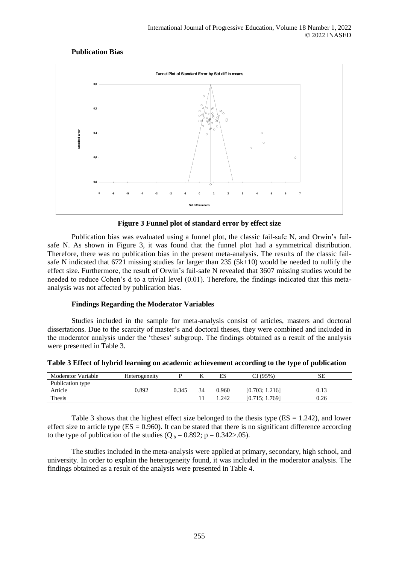# **Publication Bias**



## **Figure 3 Funnel plot of standard error by effect size**

Publication bias was evaluated using a funnel plot, the classic fail-safe N, and Orwin's failsafe N. As shown in Figure 3, it was found that the funnel plot had a symmetrical distribution. Therefore, there was no publication bias in the present meta-analysis. The results of the classic failsafe N indicated that 6721 missing studies far larger than 235 (5k+10) would be needed to nullify the effect size. Furthermore, the result of Orwin's fail-safe N revealed that 3607 missing studies would be needed to reduce Cohen's d to a trivial level (0.01). Therefore, the findings indicated that this metaanalysis was not affected by publication bias.

### **Findings Regarding the Moderator Variables**

Studies included in the sample for meta-analysis consist of articles, masters and doctoral dissertations. Due to the scarcity of master's and doctoral theses, they were combined and included in the moderator analysis under the 'theses' subgroup. The findings obtained as a result of the analysis were presented in Table 3.

| <b>Moderator Variable</b>   | Heterogeneity |       | ĸ  | ES    | CI (95%)       | SЕ   |
|-----------------------------|---------------|-------|----|-------|----------------|------|
| Publication type<br>Article | 0.892         | 0.345 | 34 | 0.960 | [0.703; 1.216] | 0.13 |
| Thesis                      |               |       |    | 1.242 | [0.715; 1.769] | 0.26 |

**Table 3 Effect of hybrid learning on academic achievement according to the type of publication**

Table 3 shows that the highest effect size belonged to the thesis type  $(ES = 1.242)$ , and lower effect size to article type ( $ES = 0.960$ ). It can be stated that there is no significant difference according to the type of publication of the studies  $(Q_b = 0.892; p = 0.342$ >.05).

The studies included in the meta-analysis were applied at primary, secondary, high school, and university. In order to explain the heterogeneity found, it was included in the moderator analysis. The findings obtained as a result of the analysis were presented in Table 4.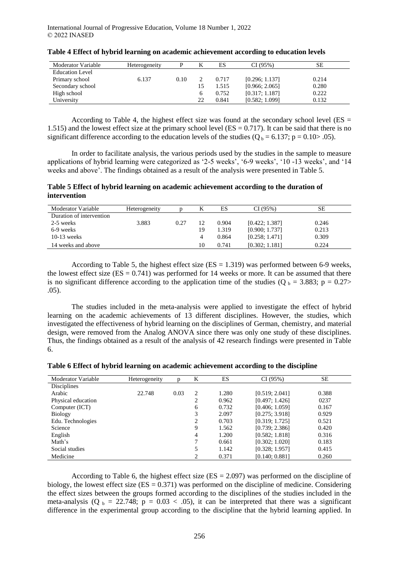| Moderator Variable     | Heterogeneity |      |    | ES    | CI(95%)        | SЕ    |
|------------------------|---------------|------|----|-------|----------------|-------|
| <b>Education Level</b> |               |      |    |       |                |       |
| Primary school         | 6.137         | 0.10 |    | 0.717 | [0.296; 1.137] | 0.214 |
| Secondary school       |               |      |    | 1.515 | [0.966; 2.065] | 0.280 |
| High school            |               |      |    | 0.752 | [0.317; 1.187] | 0.222 |
| University             |               |      | 22 | 0.841 | [0.582; 1.099] | 0.132 |

|  |  | Table 4 Effect of hybrid learning on academic achievement according to education levels |
|--|--|-----------------------------------------------------------------------------------------|
|  |  |                                                                                         |

According to Table 4, the highest effect size was found at the secondary school level ( $ES =$ 1.515) and the lowest effect size at the primary school level ( $ES = 0.717$ ). It can be said that there is no significant difference according to the education levels of the studies  $(Q_b = 6.137; p = 0.10 > .05)$ .

In order to facilitate analysis, the various periods used by the studies in the sample to measure applications of hybrid learning were categorized as '2-5 weeks', '6-9 weeks', '10 -13 weeks', and '14 weeks and above'. The findings obtained as a result of the analysis were presented in Table 5.

**Table 5 Effect of hybrid learning on academic achievement according to the duration of intervention**

| Moderator Variable       | Heterogeneity |      | K  | ES    | CI(95%)        | SЕ    |
|--------------------------|---------------|------|----|-------|----------------|-------|
| Duration of intervention |               |      |    |       |                |       |
| 2-5 weeks                | 3.883         | 0.27 | 12 | 0.904 | [0.422; 1.387] | 0.246 |
| 6-9 weeks                |               |      | 19 | 1.319 | [0.900; 1.737] | 0.213 |
| $10-13$ weeks            |               |      | 4  | 0.864 | [0.258; 1.471] | 0.309 |
| 14 weeks and above       |               |      | 10 | 0.741 | [0.302; 1.181] | 0.224 |

According to Table 5, the highest effect size  $(ES = 1.319)$  was performed between 6-9 weeks, the lowest effect size  $(ES = 0.741)$  was performed for 14 weeks or more. It can be assumed that there is no significant difference according to the application time of the studies (Q  $_b = 3.883$ ; p = 0.27> .05).

The studies included in the meta-analysis were applied to investigate the effect of hybrid learning on the academic achievements of 13 different disciplines. However, the studies, which investigated the effectiveness of hybrid learning on the disciplines of German, chemistry, and material design, were removed from the Analog ANOVA since there was only one study of these disciplines. Thus, the findings obtained as a result of the analysis of 42 research findings were presented in Table 6.

|  | Table 6 Effect of hybrid learning on academic achievement according to the discipline |  |
|--|---------------------------------------------------------------------------------------|--|
|  |                                                                                       |  |

| Moderator Variable | Heterogeneity | n    | K              | ES    | CI(95%)        | <b>SE</b> |
|--------------------|---------------|------|----------------|-------|----------------|-----------|
|                    |               |      |                |       |                |           |
| <b>Disciplines</b> |               |      |                |       |                |           |
| Arabic             | 22.748        | 0.03 | 2              | 1.280 | [0.519; 2.041] | 0.388     |
| Physical education |               |      | ↑              | 0.962 | [0.497; 1.426] | 0237      |
| Computer (ICT)     |               |      | 6              | 0.732 | [0.406; 1.059] | 0.167     |
| <b>Biology</b>     |               |      | 3              | 2.097 | [0.275; 3.918] | 0.929     |
| Edu. Technologies  |               |      | 2              | 0.703 | [0.319; 1.725] | 0.521     |
| Science            |               |      | 9              | 1.562 | [0.739; 2.386] | 0.420     |
| English            |               |      | 4              | 1.200 | [0.582; 1.818] | 0.316     |
| Math's             |               |      | 7              | 0.661 | [0.302; 1.020] | 0.183     |
| Social studies     |               |      | 5              | 1.142 | [0.328; 1.957] | 0.415     |
| Medicine           |               |      | $\overline{c}$ | 0.371 | [0.140:0.881]  | 0.260     |

According to Table 6, the highest effect size  $(ES = 2.097)$  was performed on the discipline of biology, the lowest effect size ( $ES = 0.371$ ) was performed on the discipline of medicine. Considering the effect sizes between the groups formed according to the disciplines of the studies included in the meta-analysis (Q  $_b = 22.748$ ;  $p = 0.03 < .05$ ), it can be interpreted that there was a significant difference in the experimental group according to the discipline that the hybrid learning applied. In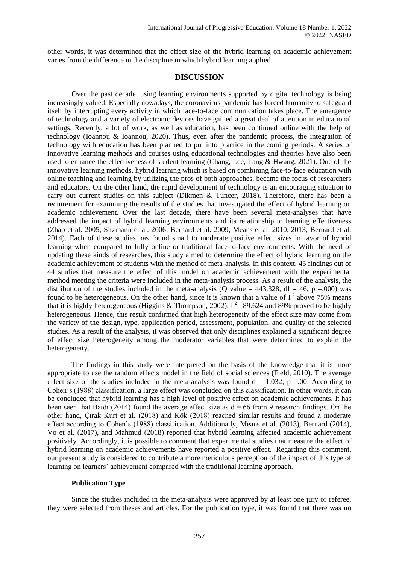other words, it was determined that the effect size of the hybrid learning on academic achievement varies from the difference in the discipline in which hybrid learning applied.

# **DISCUSSION**

Over the past decade, using learning environments supported by digital technology is being increasingly valued. Especially nowadays, the coronavirus pandemic has forced humanity to safeguard itself by interrupting every activity in which face-to-face communication takes place. The emergence of technology and a variety of electronic devices have gained a great deal of attention in educational settings. Recently, a lot of work, as well as education, has been continued online with the help of technology (Ioannou & Ioannou, 2020). Thus, even after the pandemic process, the integration of technology with education has been planned to put into practice in the coming periods. A series of innovative learning methods and courses using educational technologies and theories have also been used to enhance the effectiveness of student learning (Chang, Lee, Tang & Hwang, 2021). One of the innovative learning methods, hybrid learning which is based on combining face-to-face education with online teaching and learning by utilizing the pros of both approaches, became the focus of researchers and educators. On the other hand, the rapid development of technology is an encouraging situation to carry out current studies on this subject (Dikmen & Tuncer, 2018). Therefore, there has been a requirement for examining the results of the studies that investigated the effect of hybrid learning on academic achievement. Over the last decade, there have been several meta-analyses that have addressed the impact of hybrid learning environments and its relationship to learning effectiveness (Zhao et al. 2005; Sitzmann et al. 2006; Bernard et al. 2009; Means et al. 2010, 2013; Bernard et al. 2014). Each of these studies has found small to moderate positive effect sizes in favor of hybrid learning when compared to fully online or traditional face-to-face environments. With the need of updating these kinds of researches, this study aimed to determine the effect of hybrid learning on the academic achievement of students with the method of meta-analysis. In this context, 45 findings out of 44 studies that measure the effect of this model on academic achievement with the experimental method meeting the criteria were included in the meta-analysis process. As a result of the analysis, the distribution of the studies included in the meta-analysis (Q value =  $443.328$ , df =  $46$ , p = 000) was found to be heterogeneous. On the other hand, since it is known that a value of  $I^2$  above 75% means that it is highly heterogeneous (Higgins & Thompson, 2002),  $I^2 = 89.624$  and 89% proved to be highly heterogeneous. Hence, this result confirmed that high heterogeneity of the effect size may come from the variety of the design, type, application period, assessment, population, and quality of the selected studies. As a result of the analysis, it was observed that only disciplines explained a significant degree of effect size heterogeneity among the moderator variables that were determined to explain the heterogeneity.

The findings in this study were interpreted on the basis of the knowledge that it is more appropriate to use the random effects model in the field of social sciences (Field, 2010). The average effect size of the studies included in the meta-analysis was found  $d = 1.032$ ; p =.00. According to Cohen's (1988) classification, a large effect was concluded on this classification. In other words, it can be concluded that hybrid learning has a high level of positive effect on academic achievements. It has been seen that Batdı (2014) found the average effect size as  $d = .66$  from 9 research findings. On the other hand, Çırak Kurt et al. (2018) and Kök (2018) reached similar results and found a moderate effect according to Cohen's (1988) classification. Additionally, Means et al. (2013), Bernard (2014), Vo et al. (2017), and Mahmud (2018) reported that hybrid learning affected academic achievement positively. Accordingly, it is possible to comment that experimental studies that measure the effect of hybrid learning on academic achievements have reported a positive effect. Regarding this comment, our present study is considered to contribute a more meticulous perception of the impact of this type of learning on learners' achievement compared with the traditional learning approach.

#### **Publication Type**

Since the studies included in the meta-analysis were approved by at least one jury or referee, they were selected from theses and articles. For the publication type, it was found that there was no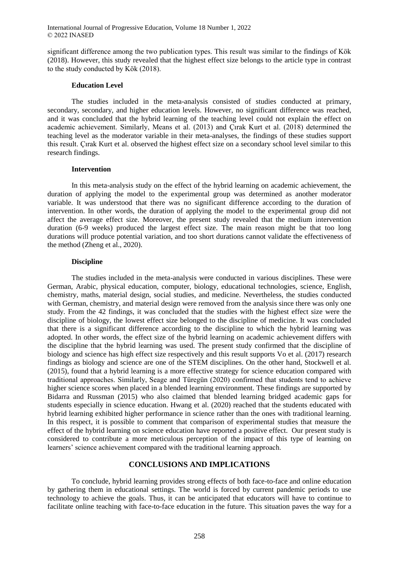significant difference among the two publication types. This result was similar to the findings of Kök (2018). However, this study revealed that the highest effect size belongs to the article type in contrast to the study conducted by Kök (2018).

#### **Education Level**

The studies included in the meta-analysis consisted of studies conducted at primary, secondary, secondary, and higher education levels. However, no significant difference was reached, and it was concluded that the hybrid learning of the teaching level could not explain the effect on academic achievement. Similarly, Means et al. (2013) and Çırak Kurt et al. (2018) determined the teaching level as the moderator variable in their meta-analyses, the findings of these studies support this result. Çırak Kurt et al. observed the highest effect size on a secondary school level similar to this research findings.

#### **Intervention**

In this meta-analysis study on the effect of the hybrid learning on academic achievement, the duration of applying the model to the experimental group was determined as another moderator variable. It was understood that there was no significant difference according to the duration of intervention. In other words, the duration of applying the model to the experimental group did not affect the average effect size. Moreover, the present study revealed that the medium intervention duration (6-9 weeks) produced the largest effect size. The main reason might be that too long durations will produce potential variation, and too short durations cannot validate the effectiveness of the method (Zheng et al., 2020).

#### **Discipline**

The studies included in the meta-analysis were conducted in various disciplines. These were German, Arabic, physical education, computer, biology, educational technologies, science, English, chemistry, maths, material design, social studies, and medicine. Nevertheless, the studies conducted with German, chemistry, and material design were removed from the analysis since there was only one study. From the 42 findings, it was concluded that the studies with the highest effect size were the discipline of biology, the lowest effect size belonged to the discipline of medicine. It was concluded that there is a significant difference according to the discipline to which the hybrid learning was adopted. In other words, the effect size of the hybrid learning on academic achievement differs with the discipline that the hybrid learning was used. The present study confirmed that the discipline of biology and science has high effect size respectively and this result supports Vo et al. (2017) research findings as biology and science are one of the STEM disciplines. On the other hand, Stockwell et al. (2015), found that a hybrid learning is a more effective strategy for science education compared with traditional approaches. Similarly, Seage and Türegün (2020) confirmed that students tend to achieve higher science scores when placed in a blended learning environment. These findings are supported by Bidarra and Russman (2015) who also claimed that blended learning bridged academic gaps for students especially in science education. Hwang et al. (2020) reached that the students educated with hybrid learning exhibited higher performance in science rather than the ones with traditional learning. In this respect, it is possible to comment that comparison of experimental studies that measure the effect of the hybrid learning on science education have reported a positive effect. Our present study is considered to contribute a more meticulous perception of the impact of this type of learning on learners' science achievement compared with the traditional learning approach.

# **CONCLUSIONS AND IMPLICATIONS**

To conclude, hybrid learning provides strong effects of both face-to-face and online education by gathering them in educational settings. The world is forced by current pandemic periods to use technology to achieve the goals. Thus, it can be anticipated that educators will have to continue to facilitate online teaching with face-to-face education in the future. This situation paves the way for a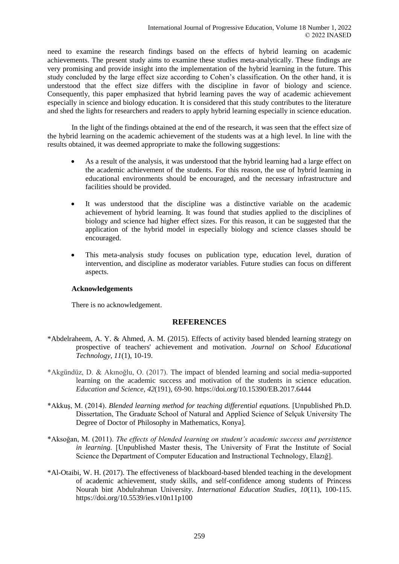need to examine the research findings based on the effects of hybrid learning on academic achievements. The present study aims to examine these studies meta-analytically. These findings are very promising and provide insight into the implementation of the hybrid learning in the future. This study concluded by the large effect size according to Cohen's classification. On the other hand, it is understood that the effect size differs with the discipline in favor of biology and science. Consequently, this paper emphasized that hybrid learning paves the way of academic achievement especially in science and biology education. It is considered that this study contributes to the literature and shed the lights for researchers and readers to apply hybrid learning especially in science education.

In the light of the findings obtained at the end of the research, it was seen that the effect size of the hybrid learning on the academic achievement of the students was at a high level. In line with the results obtained, it was deemed appropriate to make the following suggestions:

- As a result of the analysis, it was understood that the hybrid learning had a large effect on the academic achievement of the students. For this reason, the use of hybrid learning in educational environments should be encouraged, and the necessary infrastructure and facilities should be provided.
- It was understood that the discipline was a distinctive variable on the academic achievement of hybrid learning. It was found that studies applied to the disciplines of biology and science had higher effect sizes. For this reason, it can be suggested that the application of the hybrid model in especially biology and science classes should be encouraged.
- This meta-analysis study focuses on publication type, education level, duration of intervention, and discipline as moderator variables. Future studies can focus on different aspects.

### **Acknowledgements**

There is no acknowledgement.

# **REFERENCES**

- \*Abdelraheem, A. Y. & Ahmed, A. M. (2015). Effects of activity based blended learning strategy on prospective of teachers' achievement and motivation. *Journal on School Educational Technology*, *11*(1), 10-19.
- \*Akgündüz, D. & Akınoğlu, O. (2017). The impact of blended learning and social media-supported learning on the academic success and motivation of the students in science education. *Education and Science, 42*(191), 69-90. https://doi.org/10.15390/EB.2017.6444
- \*Akkuş, M. (2014). *Blended learning method for teaching differential equations.* [Unpublished Ph.D. Dissertation, The Graduate School of Natural and Applied Science of Selçuk University The Degree of Doctor of Philosophy in Mathematics, Konya].
- \*Aksoğan, M. (2011). *The effects of blended learning on student's academic success and persistence in learning.* [Unpublished Master thesis, The University of Fırat the Institute of Social Science the Department of Computer Education and Instructional Technology, Elazığ].
- \*Al-Otaibi, W. H. (2017). The effectiveness of blackboard-based blended teaching in the development of academic achievement, study skills, and self-confidence among students of Princess Nourah bint Abdulrahman University. *International Education Studies*, *10*(11), 100-115. https://doi.org/10.5539/ies.v10n11p100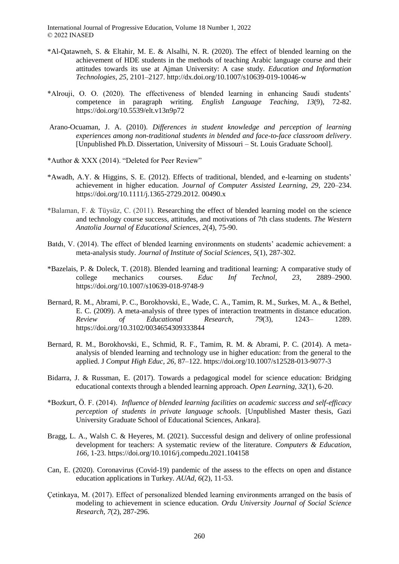- \*Al-Qatawneh, S. & Eltahir, M. E. & Alsalhi, N. R. (2020). The effect of blended learning on the achievement of HDE students in the methods of teaching Arabic language course and their attitudes towards its use at Ajman University: A case study. *Education and Information Technologies*, *25*, 2101–2127. http://dx.doi.org/10.1007/s10639-019-10046-w
- \*Alrouji, O. O. (2020). The effectiveness of blended learning in enhancing Saudi students' competence in paragraph writing. *English Language Teaching*, *13*(9), 72-82. https://doi.org/10.5539/elt.v13n9p72
- Arano-Ocuaman, J. A. (2010). *Differences in student knowledge and perception of learning experiences among non-traditional students in blended and face-to-face classroom delivery*. [Unpublished Ph.D. Dissertation, University of Missouri – St. Louis Graduate School].
- \*Author & XXX (2014). "Deleted for Peer Review"
- \*Awadh, A.Y. & Higgins, S. E. (2012). Effects of traditional, blended, and e-learning on students' achievement in higher education. *Journal of Computer Assisted Learning*, *29*, 220–234. https://doi.org/10.1111/j.1365-2729.2012. 00490.x
- \*Balaman, F. & Tüysüz, C. (2011). Researching the effect of blended learning model on the science and technology course success, attitudes, and motivations of 7th class students. *The Western Anatolia Journal of Educational Sciences, 2*(4), 75-90.
- Batdı, V. (2014). The effect of blended learning environments on students' academic achievement: a meta-analysis study. *Journal of Institute of Social Sciences*, *5*(1), 287-302.
- \*Bazelais, P. & Doleck, T. (2018). Blended learning and traditional learning: A comparative study of college mechanics courses. *Educ Inf Technol*, *23,* 2889–2900. https://doi.org/10.1007/s10639-018-9748-9
- Bernard, R. M., Abrami, P. C., Borokhovski, E., Wade, C. A., Tamim, R. M., Surkes, M. A., & Bethel, E. C. (2009). A meta-analysis of three types of interaction treatments in distance education. *Review of Educational Research*, *79*(3), 1243– 1289. https://doi.org/10.3102/0034654309333844
- Bernard, R. M., Borokhovski, E., Schmid, R. F., Tamim, R. M. & Abrami, P. C. (2014). A metaanalysis of blended learning and technology use in higher education: from the general to the applied. J *Comput High Educ, 26,* 87–122. https://doi.org/10.1007/s12528-013-9077-3
- Bidarra, J. & Russman, E. (2017). Towards a pedagogical model for science education: Bridging educational contexts through a blended learning approach. *Open Learning, 32*(1), 6-20.
- \*Bozkurt, Ö. F. (2014). *Influence of blended learning facilities on academic success and self-efficacy perception of students in private language schools*. [Unpublished Master thesis, Gazi University Graduate School of Educational Sciences, Ankara].
- Bragg, L. A., Walsh C. & Heyeres, M. (2021). Successful design and delivery of online professional development for teachers: A systematic review of the literature. *Computers & Education, 166,* 1-23. https://doi.org/10.1016/j.compedu.2021.104158
- Can, E. (2020). Coronavirus (Covid-19) pandemic of the assess to the effects on open and distance education applications in Turkey*. AUAd*, *6*(2), 11-53.
- Çetinkaya, M. (2017). Effect of personalized blended learning environments arranged on the basis of modeling to achievement in science education*. Ordu University Journal of Social Science Research, 7*(2), 287-296.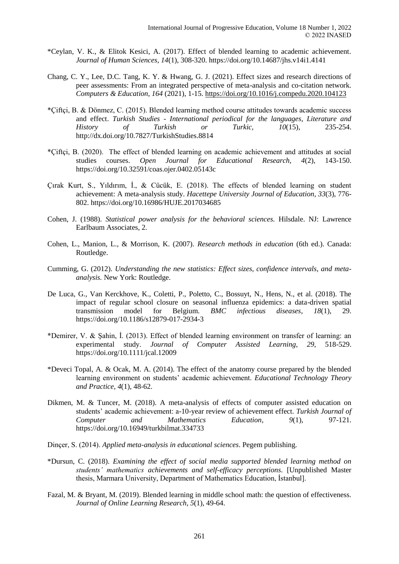- \*Ceylan, V. K., & Elitok Kesici, A. (2017). Effect of blended learning to academic achievement. *Journal of Human Sciences*, *14*(1), 308-320. https://doi.org/10.14687/jhs.v14i1.4141
- Chang, C. Y., Lee, D.C. Tang, K. Y. & Hwang, G. J. (2021). Effect sizes and research directions of peer assessments: From an integrated perspective of meta-analysis and co-citation network. *Computers & Education*, *164* (2021), 1-15. https://doi.org/10.1016/j.compedu.2020.104123
- \*Çiftçi, B. & Dönmez, C. (2015). Blended learning method course attitudes towards academic success and effect. *Turkish Studies - International periodical for the languages, Literature and History of Turkish or Turkic, 10*(15), 235-254. http://dx.doi.org/10.7827/TurkishStudies.8814
- \*Çiftçi, B. (2020). The effect of blended learning on academic achievement and attitudes at social studies courses. *Open Journal for Educational Research, 4*(2), 143-150. https://doi.org/10.32591/coas.ojer.0402.05143c
- Çırak Kurt, S., Yıldırım, İ., & Cücük, E. (2018). The effects of blended learning on student achievement: A meta-analysis study. *Hacettepe University Journal of Education*, *33*(3), 776- 802. https://doi.org/10.16986/HUJE.2017034685
- Cohen, J. (1988). *Statistical power analysis for the behavioral sciences.* Hilsdale. NJ: Lawrence Earlbaum Associates, 2.
- Cohen, L., Manion, L., & Morrison, K. (2007). *Research methods in education* (6th ed.). Canada: Routledge.
- Cumming, G. (2012). *Understanding the new statistics: Effect sizes, confidence intervals, and metaanalysis.* New York: Routledge.
- De Luca, G., Van Kerckhove, K., Coletti, P., Poletto, C., Bossuyt, N., Hens, N., et al. (2018). The impact of regular school closure on seasonal influenza epidemics: a data-driven spatial transmission model for Belgium. *BMC infectious diseases*, *18*(1), 29. https://doi.org/10.1186/s12879-017-2934-3
- \*Demirer, V. & Şahin, İ. (2013). Effect of blended learning environment on transfer of learning: an experimental study. *Journal of Computer Assisted Learning*, *29*, 518-529. https://doi.org/10.1111/jcal.12009
- \*Deveci Topal, A. & Ocak, M. A. (2014). The effect of the anatomy course prepared by the blended learning environment on students' academic achievement. *Educational Technology Theory and Practice, 4*(1), 48-62.
- Dikmen, M. & Tuncer, M. (2018). A meta-analysis of effects of computer assisted education on students' academic achievement: a-10-year review of achievement effect. *Turkish Journal of Computer and Mathematics Education*, *9*(1), 97-121. https://doi.org/10.16949/turkbilmat.334733
- Dinçer, S. (2014). *Applied meta-analysis in educational sciences*. Pegem publishing.
- \*Dursun, C. (2018). *Examining the effect of social media supported blended learning method on students' mathematics achievements and self-efficacy perceptions*. [Unpublished Master thesis, Marmara University, Department of Mathematics Education, İstanbul].
- Fazal, M. & Bryant, M. (2019). Blended learning in middle school math: the question of effectiveness. *Journal of Online Learning Research*, *5*(1), 49-64.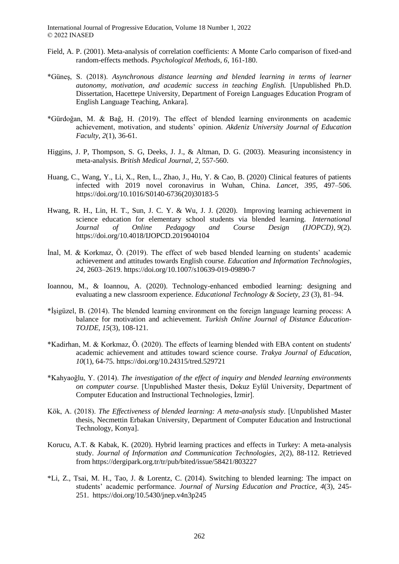- Field, A. P. (2001). Meta-analysis of correlation coefficients: A Monte Carlo comparison of fixed-and random-effects methods. *Psychological Methods, 6*, 161-180.
- \*Güneş, S. (2018). *Asynchronous distance learning and blended learning in terms of learner autonomy, motivation, and academic success in teaching English.* [Unpublished Ph.D. Dissertation, Hacettepe University, Department of Foreign Languages Education Program of English Language Teaching, Ankara].
- \*Gürdoğan, M. & Bağ, H. (2019). The effect of blended learning environments on academic achievement, motivation, and students' opinion. *Akdeniz University Journal of Education Faculty*, *2*(1), 36-61.
- Higgins, J. P, Thompson, S. G, Deeks, J. J., & Altman, D. G. (2003). Measuring inconsistency in meta-analysis. *British Medical Journal*, *2*, 557-560.
- Huang, C., Wang, Y., Li, X., Ren, L., Zhao, J., Hu, Y. & Cao, B. (2020) Clinical features of patients infected with 2019 novel coronavirus in Wuhan, China. *Lancet, 395*, 497–506. https://doi.org/10.1016/S0140-6736(20)30183-5
- Hwang, R. H., Lin, H. T., Sun, J. C. Y. & Wu, J. J. (2020). Improving learning achievement in science education for elementary school students via blended learning. *[International](https://www.igi-global.com/journal/international-journal-online-pedagogy-course/1183)  [Journal of Online Pedagogy and Course Design \(IJOPCD\),](https://www.igi-global.com/journal/international-journal-online-pedagogy-course/1183) 9*(2). https://doi.org/10.4018/IJOPCD.2019040104
- İnal, M. & Korkmaz, Ö. (2019). The effect of web based blended learning on students' academic achievement and attitudes towards English course. *Education and Information Technologies*, *24*, 2603–2619. https://doi.org/10.1007/s10639-019-09890-7
- Ioannou, M., & Ioannou, A. (2020). Technology-enhanced embodied learning: designing and evaluating a new classroom experience*. Educational Technology & Society*, *23* (3), 81–94.
- \*İşigüzel, B. (2014). The blended learning environment on the foreign language learning process: A balance for motivation and achievement. *Turkish Online Journal of Distance Education-TOJDE*, *15*(3), 108-121.
- \*Kadirhan, M. & Korkmaz, Ö. (2020). The effects of learning blended with EBA content on students' academic achievement and attitudes toward science course. *Trakya Journal of Education, 10*(1), 64-75. https://doi.org/10.24315/tred.529721
- \*Kahyaoğlu, Y. (2014). *The investigation of the effect of inquiry and blended learning environments on computer course*. [Unpublished Master thesis, Dokuz Eylül University, Department of Computer Education and Instructional Technologies, İzmir].
- Kök, A. (2018). *The Effectiveness of blended learning: A meta-analysis study*. [Unpublished Master thesis, Necmettin Erbakan University, Department of Computer Education and Instructional Technology, Konya].
- Korucu, A.T. & Kabak, K. (2020). Hybrid learning practices and effects in Turkey: A meta-analysis study. *Journal of Information and Communication Technologies*, *2*(2), 88-112. Retrieved from https://dergipark.org.tr/tr/pub/bited/issue/58421/803227
- \*Li, Z., Tsai, M. H., Tao, J. & Lorentz, C. (2014). Switching to blended learning: The impact on students' academic performance. *Journal of Nursing Education and Practice*, *4*(3), 245- 251. https://doi.org/10.5430/jnep.v4n3p245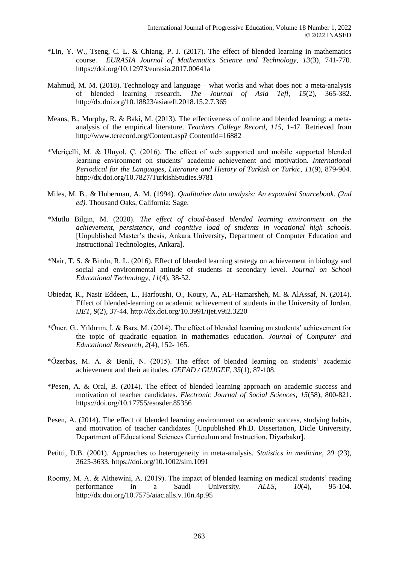- \*Lin, Y. W., Tseng, C. L. & Chiang, P. J. (2017). The effect of blended learning in mathematics course. *EURASIA Journal of Mathematics Science and Technology, 13*(3), 741-770. https://doi.org/10.12973/eurasia.2017.00641a
- Mahmud, M. M. (2018). Technology and language what works and what does not: a meta-analysis of blended learning research. *The Journal of Asia Tefl, 15*(2), 365-382. http://dx.doi.org/10.18823/asiatefl.2018.15.2.7.365
- Means, B., Murphy, R. & Baki, M. (2013). The effectiveness of online and blended learning: a metaanalysis of the empirical literature. *Teachers College Record*, *115*, 1-47. Retrieved from http://www.tcrecord.org/Content.asp? ContentId=16882
- \*Meriçelli, M. & Uluyol, Ç. (2016). The effect of web supported and mobile supported blended learning environment on students' academic achievement and motivation. *International Periodical for the Languages, Literature and History of Turkish or Turkic*, *11*(9), 879-904. http://dx.doi.org/10.7827/TurkishStudies.9781
- Miles, M. B., & Huberman, A. M. (1994)*. Qualitative data analysis: An expanded Sourcebook. (2nd ed).* Thousand Oaks, California: Sage.
- \*Mutlu Bilgin, M. (2020). *The effect of cloud-based blended learning environment on the achievement, persistency, and cognitive load of students in vocational high schools.* [Unpublished Master's thesis, Ankara University, Department of Computer Education and Instructional Technologies, Ankara].
- \*Nair, T. S. & Bindu, R. L. (2016). Effect of blended learning strategy on achievement in biology and social and environmental attitude of students at secondary level. *Journal on School Educational Technology, 11*(4), 38-52.
- Obiedat, R., Nasir Eddeen, L., Harfoushi, O., Koury, A., AL-Hamarsheh, M. & AlAssaf, N. (2014). Effect of blended-learning on academic achievement of students in the University of Jordan. *iJET, 9*(2), 37-44. http://dx.doi.org/10.3991/ijet.v9i2.3220
- \*Öner, G., Yıldırım, İ. & Bars, M. (2014). The effect of blended learning on students' achievement for the topic of quadratic equation in mathematics education. *Journal of Computer and Educational Research*, *2*(4), 152- 165.
- \*Özerbaş, M. A. & Benli, N. (2015). The effect of blended learning on students' academic achievement and their attitudes. *GEFAD / GUJGEF*, *35*(1), 87-108.
- \*Pesen, A. & Oral, B. (2014). The effect of blended learning approach on academic success and motivation of teacher candidates. *Electronic Journal of Social Sciences, 15*(58), 800-821. https://doi.org/10.17755/esosder.85356
- Pesen, A. (2014). The effect of blended learning environment on academic success, studying habits, and motivation of teacher candidates. [Unpublished Ph.D. Dissertation, Dicle University, Department of Educational Sciences Curriculum and Instruction, Diyarbakır].
- Petitti, D.B. (2001). Approaches to heterogeneity in meta-analysis. *Statistics in medicine, 20* (23), 3625-3633. https://doi.org/10.1002/sim.1091
- Roomy, M. A. & Althewini, A. (2019). The impact of blended learning on medical students' reading performance in a Saudi University. *ALLS*, *10*(4), 95-104. http://dx.doi.org/10.7575/aiac.alls.v.10n.4p.95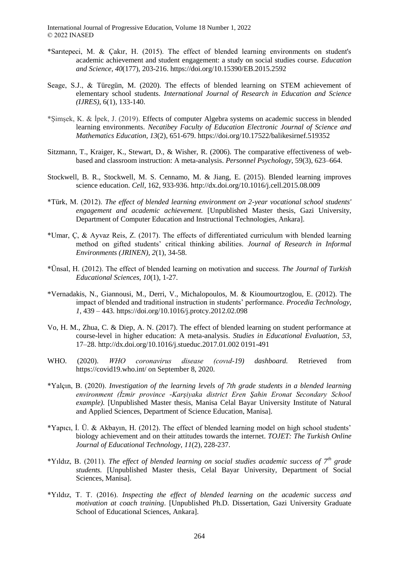- \*Sarıtepeci, M. & Çakır, H. (2015). The effect of blended learning environments on student's academic achievement and student engagement: a study on social studies course. *Education and Science, 40*(177), 203-216. https://doi.org/10.15390/EB.2015.2592
- Seage, S.J., & Türegün, M. (2020). The effects of blended learning on STEM achievement of elementary school students. *International Journal of Research in Education and Science (IJRES),* 6(1), 133-140.
- \*Şimşek, K. & İpek, J. (2019). Effects of computer Algebra systems on academic success in blended learning environments. *Necatibey Faculty of Education Electronic Journal of Science and Mathematics Education, 13*(2), 651-679. https://doi.org/10.17522/balikesirnef.519352
- Sitzmann, T., Kraiger, K., Stewart, D., & Wisher, R. (2006). The comparative effectiveness of webbased and classroom instruction: A meta-analysis. *Personnel Psychology*, 59(3), 623–664.
- Stockwell, B. R., Stockwell, M. S. Cennamo, M. & Jiang, E. (2015). Blended learning improves science education. *Cell,* 162, 933-936. http://dx.doi.org/10.1016/j.cell.2015.08.009
- \*Türk, M. (2012). *The effect of blended learning environment on 2-year vocational school students' engagement and academic achievement.* [Unpublished Master thesis, Gazi University, Department of Computer Education and Instructional Technologies, Ankara].
- \*Umar, Ç, & Ayvaz Reis, Z. (2017). The effects of differentiated curriculum with blended learning method on gifted students' critical thinking abilities. *Journal of Research in Informal Environments (JRINEN), 2*(1), 34-58.
- \*Ünsal, H. (2012). The effect of blended learning on motivation and success. *The Journal of Turkish Educational Sciences, 10*(1), 1-27.
- \*Vernadakis, N., Giannousi, M., Derri, V., Michalopoulos, M. & Kioumourtzoglou, E. (2012). The impact of blended and traditional instruction in students' performance. *Procedia Technology, 1*, 439 – 443. https://doi.org/10.1016/j.protcy.2012.02.098
- Vo, H. M., Zhua, C. & Diep, A. N. (2017). The effect of blended learning on student performance at course-level in higher education: A meta-analysis. *Studies in Educational Evaluation*, *53*, 17–28. http://dx.doi.org/10.1016/j.stueduc.2017.01.002 0191-491
- WHO. (2020). *WHO coronavirus disease (covıd-19) dashboard.* Retrieved from https://covid19.who.int/ on September 8, 2020.
- \*Yalçın, B. (2020). *Investigation of the learning levels of 7th grade students in a blended learning environment (İzmir province -Karşiyaka district Eren Şahin Eronat Secondary School example).* [Unpublished Master thesis, Manisa Celal Bayar University Institute of Natural and Applied Sciences, Department of Science Education, Manisa].
- \*Yapıcı, İ. Ü. & Akbayın, H. (2012). The effect of blended learning model on high school students' biology achievement and on their attitudes towards the internet. *TOJET: The Turkish Online Journal of Educational Technology*, *11*(2), 228-237.
- \*Yıldız, B. (2011). *The effect of blended learning on social studies academic success of 7th grade students.* [Unpublished Master thesis, Celal Bayar University, Department of Social Sciences, Manisa].
- \*Yıldız, T. T. (2016). *Inspecting the effect of blended learning on the academic success and motivation at coach training*. [Unpublished Ph.D. Dissertation, Gazi University Graduate School of Educational Sciences, Ankara].